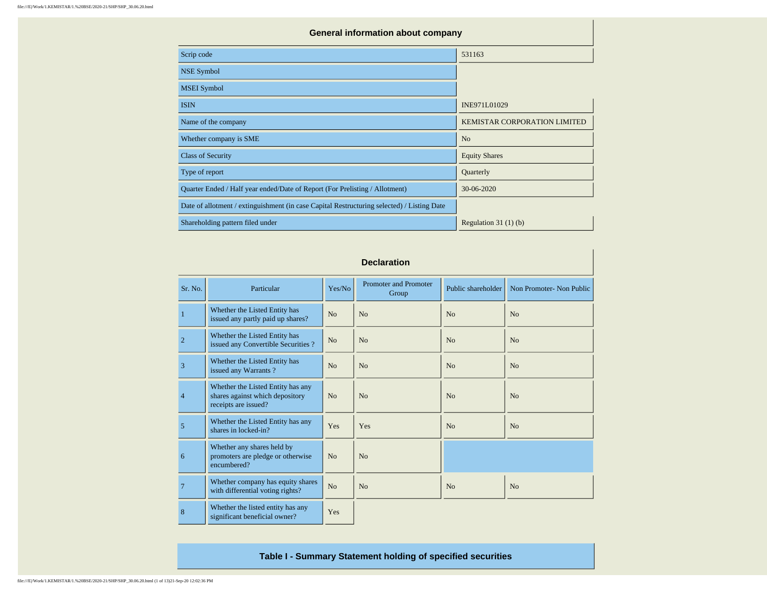| <b>General information about company</b>                                                   |                                     |  |  |  |  |  |  |  |  |  |
|--------------------------------------------------------------------------------------------|-------------------------------------|--|--|--|--|--|--|--|--|--|
| Scrip code                                                                                 | 531163                              |  |  |  |  |  |  |  |  |  |
| NSE Symbol                                                                                 |                                     |  |  |  |  |  |  |  |  |  |
| <b>MSEI</b> Symbol                                                                         |                                     |  |  |  |  |  |  |  |  |  |
| <b>ISIN</b>                                                                                | INE971L01029                        |  |  |  |  |  |  |  |  |  |
| Name of the company                                                                        | <b>KEMISTAR CORPORATION LIMITED</b> |  |  |  |  |  |  |  |  |  |
| Whether company is SME                                                                     | N <sub>o</sub>                      |  |  |  |  |  |  |  |  |  |
| <b>Class of Security</b>                                                                   | <b>Equity Shares</b>                |  |  |  |  |  |  |  |  |  |
| Type of report                                                                             | Quarterly                           |  |  |  |  |  |  |  |  |  |
| Quarter Ended / Half year ended/Date of Report (For Prelisting / Allotment)                | 30-06-2020                          |  |  |  |  |  |  |  |  |  |
| Date of allotment / extinguishment (in case Capital Restructuring selected) / Listing Date |                                     |  |  |  |  |  |  |  |  |  |
| Shareholding pattern filed under                                                           | Regulation $31(1)(b)$               |  |  |  |  |  |  |  |  |  |

| <b>Declaration</b> |                                                                                              |        |                                |                    |                          |  |  |  |  |  |  |  |
|--------------------|----------------------------------------------------------------------------------------------|--------|--------------------------------|--------------------|--------------------------|--|--|--|--|--|--|--|
| Sr. No.            | Particular                                                                                   | Yes/No | Promoter and Promoter<br>Group | Public shareholder | Non Promoter- Non Public |  |  |  |  |  |  |  |
| $\mathbf{1}$       | Whether the Listed Entity has<br>issued any partly paid up shares?                           | No     | No                             | No                 | No                       |  |  |  |  |  |  |  |
| $\overline{2}$     | Whether the Listed Entity has<br>issued any Convertible Securities?                          | No     | No                             | No                 | No                       |  |  |  |  |  |  |  |
| 3                  | Whether the Listed Entity has<br>issued any Warrants?                                        | No     | No                             | No                 | No                       |  |  |  |  |  |  |  |
| $\overline{4}$     | Whether the Listed Entity has any<br>shares against which depository<br>receipts are issued? | No     | No                             | N <sub>0</sub>     | N <sub>o</sub>           |  |  |  |  |  |  |  |
| 5                  | Whether the Listed Entity has any<br>shares in locked-in?                                    | Yes    | Yes                            | No                 | No                       |  |  |  |  |  |  |  |
| 6                  | Whether any shares held by<br>promoters are pledge or otherwise<br>encumbered?               | No     | No                             |                    |                          |  |  |  |  |  |  |  |
| $\overline{7}$     | Whether company has equity shares<br>with differential voting rights?                        | No     | No                             | N <sub>o</sub>     | No                       |  |  |  |  |  |  |  |
| 8                  | Whether the listed entity has any<br>significant beneficial owner?                           | Yes    |                                |                    |                          |  |  |  |  |  |  |  |

**Table I - Summary Statement holding of specified securities**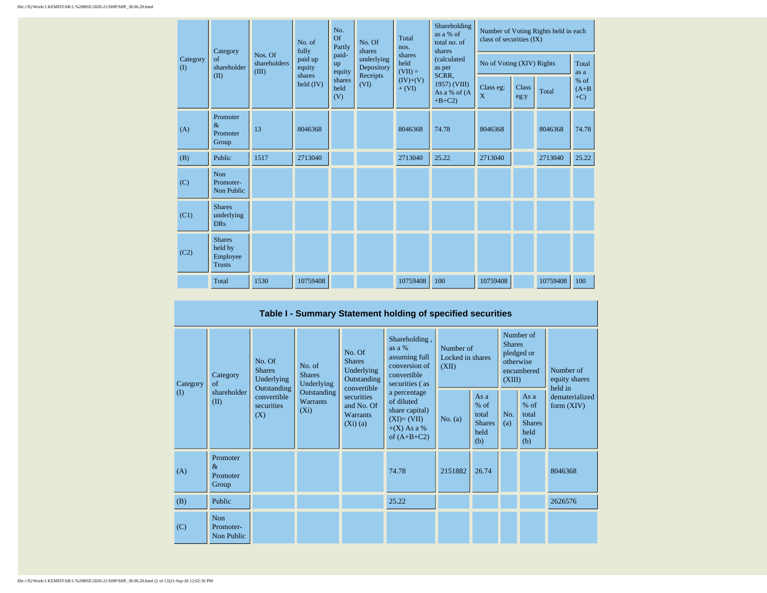|                       | Category<br>$\sigma$ f                                | Nos. Of               | No. of<br>fully     | No.<br>Of<br>Partly   | No. Of<br>shares         | Total<br>nos.               | Shareholding<br>as a % of<br>total no. of<br>shares | Number of Voting Rights held in each<br>class of securities (IX) |                      |          |                         |  |
|-----------------------|-------------------------------------------------------|-----------------------|---------------------|-----------------------|--------------------------|-----------------------------|-----------------------------------------------------|------------------------------------------------------------------|----------------------|----------|-------------------------|--|
| Category<br>$\rm (I)$ | shareholder                                           | shareholders<br>(III) | paid up<br>equity   | paid-<br>up<br>equity | underlying<br>Depository | shares<br>held<br>$(VII) =$ | (calculated<br>as per                               | No of Voting (XIV) Rights                                        |                      |          | Total<br>as a           |  |
|                       | (II)                                                  |                       | shares<br>held (IV) | shares<br>held<br>(V) | Receipts<br>(VI)         | $(IV)+(V)$<br>$+ (VI)$      | SCRR,<br>1957) (VIII)<br>As a % of (A<br>$+B+C2$    | Class eg:<br>X                                                   | <b>Class</b><br>eg:y | Total    | % of<br>$(A+B)$<br>$+C$ |  |
| (A)                   | Promoter<br>$\&$<br>Promoter<br>Group                 | 13                    | 8046368             |                       |                          | 8046368                     | 74.78                                               | 8046368                                                          |                      | 8046368  | 74.78                   |  |
| (B)                   | Public                                                | 1517                  | 2713040             |                       |                          | 2713040                     | 25.22                                               | 2713040                                                          |                      | 2713040  | 25.22                   |  |
| (C)                   | Non<br>Promoter-<br><b>Non Public</b>                 |                       |                     |                       |                          |                             |                                                     |                                                                  |                      |          |                         |  |
| (C1)                  | <b>Shares</b><br>underlying<br><b>DRs</b>             |                       |                     |                       |                          |                             |                                                     |                                                                  |                      |          |                         |  |
| (C2)                  | <b>Shares</b><br>held by<br>Employee<br><b>Trusts</b> |                       |                     |                       |                          |                             |                                                     |                                                                  |                      |          |                         |  |
|                       | Total                                                 | 1530                  | 10759408            |                       |                          | 10759408                    | 100                                                 | 10759408                                                         |                      | 10759408 | 100                     |  |

## **Table I - Summary Statement holding of specified securities**

| Category<br>$\mathbf{I}$ | No. Of<br><b>Shares</b><br>Category<br>Underlying<br>$\sigma$<br>Outstanding<br>shareholder<br>convertible<br>(II)<br>securities<br>(X) | No. of<br><b>Shares</b><br>Underlying | No. Of<br><b>Shares</b><br>Underlying<br>Outstanding<br>convertible | Shareholding,<br>as a %<br>assuming full<br>conversion of<br>convertible<br>securities (as | Number of<br>Locked in shares<br>(XII)                                                         |           | Number of<br><b>Shares</b><br>pledged or<br>otherwise<br>encumbered<br>(XIII) |            | Number of<br>equity shares<br>held in                   |                                |
|--------------------------|-----------------------------------------------------------------------------------------------------------------------------------------|---------------------------------------|---------------------------------------------------------------------|--------------------------------------------------------------------------------------------|------------------------------------------------------------------------------------------------|-----------|-------------------------------------------------------------------------------|------------|---------------------------------------------------------|--------------------------------|
|                          |                                                                                                                                         |                                       | Outstanding<br><b>Warrants</b><br>$(X_i)$                           | securities<br>and No. Of<br><b>Warrants</b><br>(Xi)(a)                                     | a percentage<br>of diluted<br>share capital)<br>$(XI)=(VII)$<br>$+(X)$ As a %<br>of $(A+B+C2)$ | No. $(a)$ | As a<br>$%$ of<br>total<br><b>Shares</b><br>held<br>(b)                       | No.<br>(a) | As a<br>$%$ of<br>total<br><b>Shares</b><br>held<br>(b) | dematerialized<br>form $(XIV)$ |
| (A)                      | Promoter<br>$\&$<br>Promoter<br>Group                                                                                                   |                                       |                                                                     |                                                                                            | 74.78                                                                                          | 2151882   | 26.74                                                                         |            |                                                         | 8046368                        |
| (B)                      | Public                                                                                                                                  |                                       |                                                                     |                                                                                            | 25.22                                                                                          |           |                                                                               |            |                                                         | 2626576                        |
| (C)                      | <b>Non</b><br>Promoter-<br>Non Public                                                                                                   |                                       |                                                                     |                                                                                            |                                                                                                |           |                                                                               |            |                                                         |                                |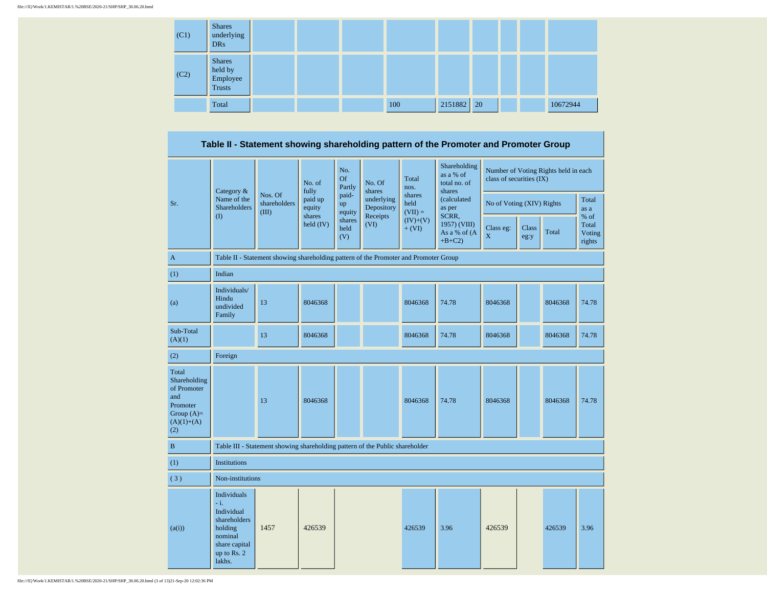| (C1) | <b>Shares</b><br>underlying<br><b>DRs</b>      |  |     |         |               |  |          |
|------|------------------------------------------------|--|-----|---------|---------------|--|----------|
| (C2) | <b>Shares</b><br>held by<br>Employee<br>Trusts |  |     |         |               |  |          |
|      | Total                                          |  | 100 | 2151882 | <sup>20</sup> |  | 10672944 |

**Table II - Statement showing shareholding pattern of the Promoter and Promoter Group**

|                                                                                                | Category &<br>Name of the                                                                                           |                                                                                      | No. of<br>fully     | No.<br>Of<br>Partly   | No. Of<br>shares         | Total<br>nos.               | Shareholding<br>as a % of<br>total no. of<br>shares | class of securities (IX)  |                      | Number of Voting Rights held in each |                                   |  |
|------------------------------------------------------------------------------------------------|---------------------------------------------------------------------------------------------------------------------|--------------------------------------------------------------------------------------|---------------------|-----------------------|--------------------------|-----------------------------|-----------------------------------------------------|---------------------------|----------------------|--------------------------------------|-----------------------------------|--|
| Sr.                                                                                            | <b>Shareholders</b>                                                                                                 | Nos. Of<br>shareholders<br>(III)                                                     | paid up<br>equity   | paid-<br>up<br>equity | underlying<br>Depository | shares<br>held<br>$(VII) =$ | (calculated<br>as per                               | No of Voting (XIV) Rights |                      |                                      | Total<br>as a                     |  |
|                                                                                                | (1)                                                                                                                 |                                                                                      | shares<br>held (IV) | shares<br>held<br>(V) | Receipts<br>(VI)         | $(IV)+(V)$<br>$+ (VI)$      | SCRR,<br>1957) (VIII)<br>As a % of (A<br>$+B+C2$    | Class eg:<br>$\mathbf X$  | <b>Class</b><br>eg:y | Total                                | % of<br>Total<br>Voting<br>rights |  |
| $\mathbf{A}$                                                                                   |                                                                                                                     | Table II - Statement showing shareholding pattern of the Promoter and Promoter Group |                     |                       |                          |                             |                                                     |                           |                      |                                      |                                   |  |
| (1)                                                                                            | Indian                                                                                                              |                                                                                      |                     |                       |                          |                             |                                                     |                           |                      |                                      |                                   |  |
| (a)                                                                                            | Individuals/<br>Hindu<br>undivided<br>Family                                                                        | 13                                                                                   | 8046368             |                       |                          | 8046368                     | 74.78                                               | 8046368                   |                      | 8046368                              | 74.78                             |  |
| Sub-Total<br>(A)(1)                                                                            |                                                                                                                     | 13                                                                                   | 8046368             |                       |                          | 8046368                     | 74.78                                               | 8046368                   |                      | 8046368                              | 74.78                             |  |
| (2)                                                                                            | Foreign                                                                                                             |                                                                                      |                     |                       |                          |                             |                                                     |                           |                      |                                      |                                   |  |
| Total<br>Shareholding<br>of Promoter<br>and<br>Promoter<br>Group $(A)=$<br>$(A)(1)+(A)$<br>(2) |                                                                                                                     | 13                                                                                   | 8046368             |                       |                          | 8046368                     | 74.78                                               | 8046368                   |                      | 8046368                              | 74.78                             |  |
| $\bf{B}$                                                                                       |                                                                                                                     | Table III - Statement showing shareholding pattern of the Public shareholder         |                     |                       |                          |                             |                                                     |                           |                      |                                      |                                   |  |
| (1)                                                                                            | <b>Institutions</b>                                                                                                 |                                                                                      |                     |                       |                          |                             |                                                     |                           |                      |                                      |                                   |  |
| (3)                                                                                            | Non-institutions                                                                                                    |                                                                                      |                     |                       |                          |                             |                                                     |                           |                      |                                      |                                   |  |
| (a(i))                                                                                         | Individuals<br>$- i.$<br>Individual<br>shareholders<br>holding<br>nominal<br>share capital<br>up to Rs. 2<br>lakhs. | 1457                                                                                 | 426539              |                       |                          | 426539                      | 3.96                                                | 426539                    |                      | 426539                               | 3.96                              |  |

file:///E|/Work/1.KEMISTAR/1.%20BSE/2020-21/SHP/SHP\_30.06.20.html (3 of 13)21-Sep-20 12:02:36 PM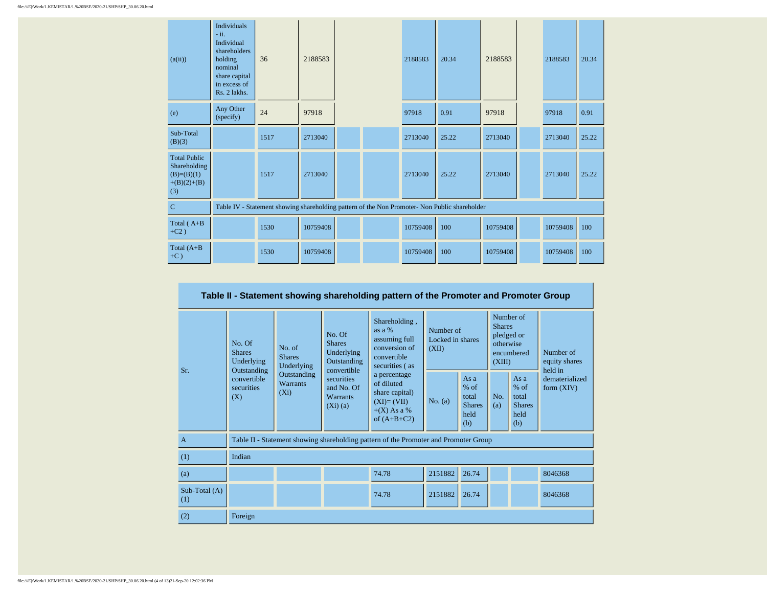| (a(ii))                                                                     | Individuals<br>$-ii.$<br>Individual<br>shareholders<br>holding<br>nominal<br>share capital<br>in excess of<br>Rs. 2 lakhs. | 36   | 2188583  |  | 2188583  | 20.34                                                                                         | 2188583  | 2188583  | 20.34 |
|-----------------------------------------------------------------------------|----------------------------------------------------------------------------------------------------------------------------|------|----------|--|----------|-----------------------------------------------------------------------------------------------|----------|----------|-------|
| (e)                                                                         | Any Other<br>(specify)                                                                                                     | 24   | 97918    |  | 97918    | 0.91                                                                                          | 97918    | 97918    | 0.91  |
| Sub-Total<br>(B)(3)                                                         |                                                                                                                            | 1517 | 2713040  |  | 2713040  | 25.22                                                                                         | 2713040  | 2713040  | 25.22 |
| <b>Total Public</b><br>Shareholding<br>$(B)=(B)(1)$<br>$+(B)(2)+(B)$<br>(3) |                                                                                                                            | 1517 | 2713040  |  | 2713040  | 25.22                                                                                         | 2713040  | 2713040  | 25.22 |
| $\mathbf{C}$                                                                |                                                                                                                            |      |          |  |          | Table IV - Statement showing shareholding pattern of the Non Promoter- Non Public shareholder |          |          |       |
| Total (A+B<br>$+C2)$                                                        |                                                                                                                            | 1530 | 10759408 |  | 10759408 | 100                                                                                           | 10759408 | 10759408 | 100   |
| Total $(A+B)$<br>$+C$ )                                                     |                                                                                                                            | 1530 | 10759408 |  | 10759408 | 100                                                                                           | 10759408 | 10759408 | 100   |

|                      |                                                                                               |                                           |                                                                     | Table II - Statement showing shareholding pattern of the Promoter and Promoter Group             |                                        |                                                         |                                                                               |                                                           |                                       |  |
|----------------------|-----------------------------------------------------------------------------------------------|-------------------------------------------|---------------------------------------------------------------------|--------------------------------------------------------------------------------------------------|----------------------------------------|---------------------------------------------------------|-------------------------------------------------------------------------------|-----------------------------------------------------------|---------------------------------------|--|
| Sr.                  | No. Of<br>No. of<br><b>Shares</b><br><b>Shares</b><br>Underlying<br>Underlying<br>Outstanding |                                           | No. Of<br><b>Shares</b><br>Underlying<br>Outstanding<br>convertible | Shareholding,<br>as $a\%$<br>assuming full<br>conversion of<br>convertible<br>securities (as     | Number of<br>Locked in shares<br>(XII) |                                                         | Number of<br><b>Shares</b><br>pledged or<br>otherwise<br>encumbered<br>(XIII) |                                                           | Number of<br>equity shares<br>held in |  |
|                      | convertible<br>securities<br>(X)                                                              | Outstanding<br><b>Warrants</b><br>$(X_i)$ | securities<br>and No. Of<br><b>Warrants</b><br>(Xi)(a)              | a percentage<br>of diluted<br>share capital)<br>$(XI) = (VII)$<br>$+(X)$ As a %<br>of $(A+B+C2)$ | No. $(a)$                              | As a<br>$%$ of<br>total<br><b>Shares</b><br>held<br>(b) | No.<br>(a)                                                                    | As $a$<br>$%$ of<br>total<br><b>Shares</b><br>held<br>(b) | dematerialized<br>form $(XIV)$        |  |
| $\overline{A}$       |                                                                                               |                                           |                                                                     | Table II - Statement showing shareholding pattern of the Promoter and Promoter Group             |                                        |                                                         |                                                                               |                                                           |                                       |  |
| (1)                  | Indian                                                                                        |                                           |                                                                     |                                                                                                  |                                        |                                                         |                                                                               |                                                           |                                       |  |
| (a)                  |                                                                                               |                                           |                                                                     | 74.78                                                                                            | 2151882                                | 26.74                                                   |                                                                               |                                                           | 8046368                               |  |
| Sub-Total (A)<br>(1) |                                                                                               |                                           |                                                                     | 74.78                                                                                            | 2151882                                | 26.74                                                   |                                                                               |                                                           | 8046368                               |  |
| (2)                  | Foreign                                                                                       |                                           |                                                                     |                                                                                                  |                                        |                                                         |                                                                               |                                                           |                                       |  |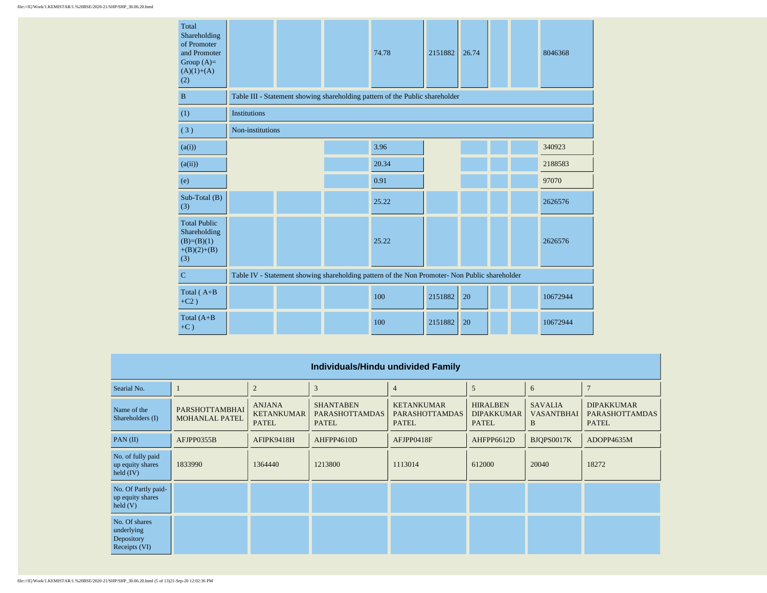| Total<br>Shareholding<br>of Promoter<br>and Promoter<br>Group $(A)=$<br>$(A)(1)+(A)$<br>(2) |                     |                                                                                               |  | 74.78                                                                        | 2151882 | 26.74 |  |  | 8046368  |  |  |
|---------------------------------------------------------------------------------------------|---------------------|-----------------------------------------------------------------------------------------------|--|------------------------------------------------------------------------------|---------|-------|--|--|----------|--|--|
| $\, {\bf B}$                                                                                |                     |                                                                                               |  | Table III - Statement showing shareholding pattern of the Public shareholder |         |       |  |  |          |  |  |
| (1)                                                                                         | <b>Institutions</b> |                                                                                               |  |                                                                              |         |       |  |  |          |  |  |
| (3)                                                                                         | Non-institutions    |                                                                                               |  |                                                                              |         |       |  |  |          |  |  |
| (a(i))                                                                                      |                     |                                                                                               |  | 3.96                                                                         |         |       |  |  | 340923   |  |  |
| (a(ii))                                                                                     |                     |                                                                                               |  | 20.34                                                                        |         |       |  |  | 2188583  |  |  |
| (e)                                                                                         |                     |                                                                                               |  | 0.91                                                                         |         |       |  |  | 97070    |  |  |
| $Sub-Total(B)$<br>(3)                                                                       |                     |                                                                                               |  | 25.22                                                                        |         |       |  |  | 2626576  |  |  |
| <b>Total Public</b><br>Shareholding<br>$(B)=(B)(1)$<br>$+(B)(2)+(B)$<br>(3)                 |                     |                                                                                               |  | 25.22                                                                        |         |       |  |  | 2626576  |  |  |
| $\mathbf C$                                                                                 |                     | Table IV - Statement showing shareholding pattern of the Non Promoter- Non Public shareholder |  |                                                                              |         |       |  |  |          |  |  |
| Total (A+B<br>$+C2$ )                                                                       |                     |                                                                                               |  | 100                                                                          | 2151882 | 20    |  |  | 10672944 |  |  |
| Total $(A+B)$<br>$+C$ )                                                                     |                     |                                                                                               |  | 100                                                                          | 2151882 | 20    |  |  | 10672944 |  |  |

| Individuals/Hindu undivided Family                          |                                         |                                                    |                                                           |                                                            |                                                      |                                          |                                                            |  |  |  |  |
|-------------------------------------------------------------|-----------------------------------------|----------------------------------------------------|-----------------------------------------------------------|------------------------------------------------------------|------------------------------------------------------|------------------------------------------|------------------------------------------------------------|--|--|--|--|
| Searial No.                                                 |                                         | $\overline{2}$                                     | 3                                                         | $\overline{4}$                                             | 5                                                    | 6                                        | 7                                                          |  |  |  |  |
| Name of the<br>Shareholders (I)                             | PARSHOTTAMBHAI<br><b>MOHANLAL PATEL</b> | <b>ANJANA</b><br><b>KETANKUMAR</b><br><b>PATEL</b> | <b>SHANTABEN</b><br><b>PARASHOTTAMDAS</b><br><b>PATEL</b> | <b>KETANKUMAR</b><br><b>PARASHOTTAMDAS</b><br><b>PATEL</b> | <b>HIRALBEN</b><br><b>DIPAKKUMAR</b><br><b>PATEL</b> | <b>SAVALIA</b><br><b>VASANTBHAI</b><br>B | <b>DIPAKKUMAR</b><br><b>PARASHOTTAMDAS</b><br><b>PATEL</b> |  |  |  |  |
| PAN(II)                                                     | AFJPP0355B                              | AFIPK9418H                                         | AHFPP4610D                                                | AFJPP0418F                                                 | AHFPP6612D                                           | BJQPS0017K                               | ADOPP4635M                                                 |  |  |  |  |
| No. of fully paid<br>up equity shares<br>held $(IV)$        | 1833990                                 | 1364440                                            | 1213800                                                   | 1113014                                                    | 612000                                               | 20040                                    | 18272                                                      |  |  |  |  |
| No. Of Partly paid-<br>up equity shares<br>$\text{held}(V)$ |                                         |                                                    |                                                           |                                                            |                                                      |                                          |                                                            |  |  |  |  |
| No. Of shares<br>underlying<br>Depository<br>Receipts (VI)  |                                         |                                                    |                                                           |                                                            |                                                      |                                          |                                                            |  |  |  |  |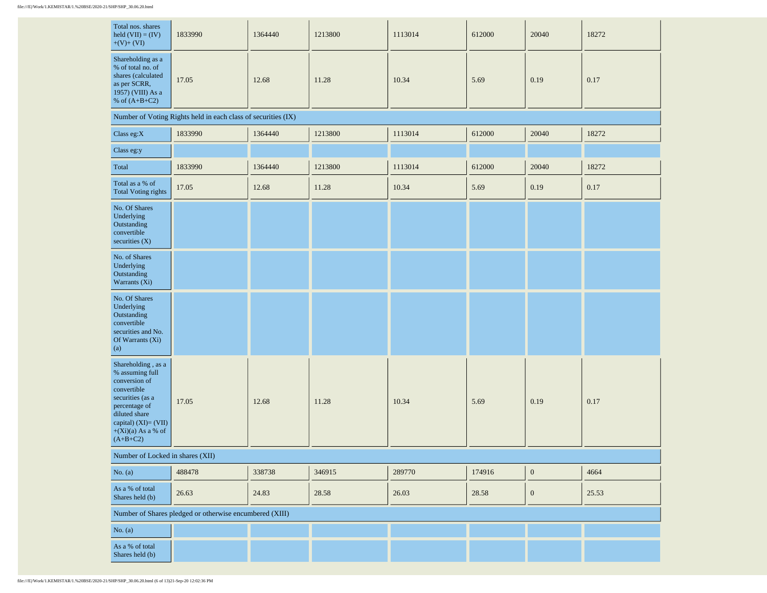| Total nos. shares<br>held $(VII) = (IV)$<br>$+(V)+(VI)$                                                                                                                                    | 1833990                                                       | 1364440 | 1213800 | 1113014 | 612000 | 20040            | 18272 |
|--------------------------------------------------------------------------------------------------------------------------------------------------------------------------------------------|---------------------------------------------------------------|---------|---------|---------|--------|------------------|-------|
| Shareholding as a<br>% of total no. of<br>shares (calculated<br>as per SCRR,<br>1957) (VIII) As a<br>% of $(A+B+C2)$                                                                       | 17.05                                                         | 12.68   | 11.28   | 10.34   | 5.69   | 0.19             | 0.17  |
|                                                                                                                                                                                            | Number of Voting Rights held in each class of securities (IX) |         |         |         |        |                  |       |
| Class eg:X                                                                                                                                                                                 | 1833990                                                       | 1364440 | 1213800 | 1113014 | 612000 | 20040            | 18272 |
| Class eg:y                                                                                                                                                                                 |                                                               |         |         |         |        |                  |       |
| Total                                                                                                                                                                                      | 1833990                                                       | 1364440 | 1213800 | 1113014 | 612000 | 20040            | 18272 |
| Total as a % of<br><b>Total Voting rights</b>                                                                                                                                              | 17.05                                                         | 12.68   | 11.28   | 10.34   | 5.69   | 0.19             | 0.17  |
| No. Of Shares<br>Underlying<br>Outstanding<br>convertible<br>securities $(X)$                                                                                                              |                                                               |         |         |         |        |                  |       |
| No. of Shares<br>Underlying<br>Outstanding<br>Warrants (Xi)                                                                                                                                |                                                               |         |         |         |        |                  |       |
| No. Of Shares<br>Underlying<br>Outstanding<br>convertible<br>securities and No.<br>Of Warrants (Xi)<br>(a)                                                                                 |                                                               |         |         |         |        |                  |       |
| Shareholding , as a<br>% assuming full<br>conversion of<br>convertible<br>securities (as a<br>percentage of<br>diluted share<br>capital) (XI)= (VII)<br>$+(Xi)(a)$ As a % of<br>$(A+B+C2)$ | 17.05                                                         | 12.68   | 11.28   | 10.34   | 5.69   | 0.19             | 0.17  |
| Number of Locked in shares (XII)                                                                                                                                                           |                                                               |         |         |         |        |                  |       |
| No. $(a)$                                                                                                                                                                                  | 488478                                                        | 338738  | 346915  | 289770  | 174916 | $\boldsymbol{0}$ | 4664  |
| As a % of total<br>Shares held (b)                                                                                                                                                         | 26.63                                                         | 24.83   | 28.58   | 26.03   | 28.58  | $\boldsymbol{0}$ | 25.53 |
|                                                                                                                                                                                            | Number of Shares pledged or otherwise encumbered (XIII)       |         |         |         |        |                  |       |
| No. $(a)$                                                                                                                                                                                  |                                                               |         |         |         |        |                  |       |
| As a % of total<br>Shares held (b)                                                                                                                                                         |                                                               |         |         |         |        |                  |       |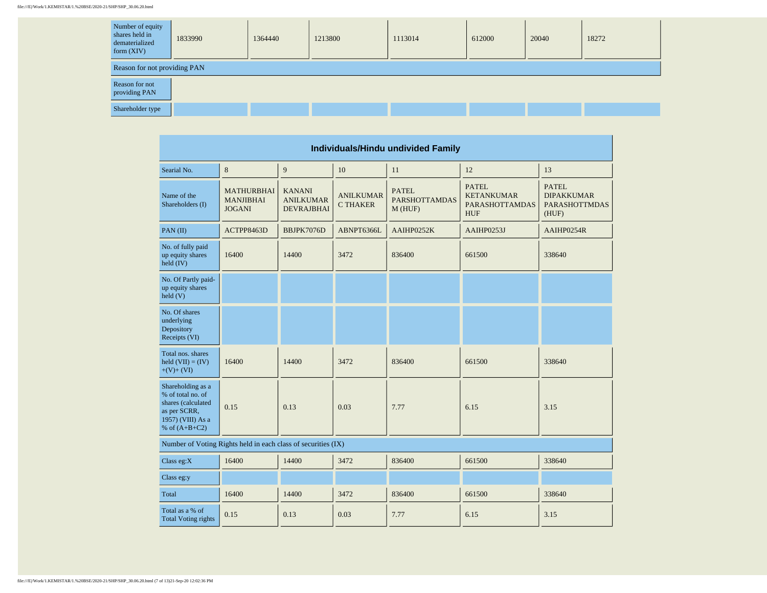| Number of equity<br>shares held in<br>dematerialized<br>form (XIV) | 1833990 | 1364440 | 1213800 | 1113014 | 612000 | 20040 | 18272 |  |  |  |  |  |
|--------------------------------------------------------------------|---------|---------|---------|---------|--------|-------|-------|--|--|--|--|--|
| Reason for not providing PAN                                       |         |         |         |         |        |       |       |  |  |  |  |  |
| Reason for not<br>providing PAN                                    |         |         |         |         |        |       |       |  |  |  |  |  |
| Shareholder type                                                   |         |         |         |         |        |       |       |  |  |  |  |  |

| Individuals/Hindu undivided Family                                                                                   |                                                               |                                                        |                                     |                                                 |                                                                          |                                                                    |  |  |  |  |
|----------------------------------------------------------------------------------------------------------------------|---------------------------------------------------------------|--------------------------------------------------------|-------------------------------------|-------------------------------------------------|--------------------------------------------------------------------------|--------------------------------------------------------------------|--|--|--|--|
| Searial No.                                                                                                          | 8                                                             | 9                                                      | 10                                  | 11                                              | 12                                                                       | 13                                                                 |  |  |  |  |
| Name of the<br>Shareholders (I)                                                                                      | <b>MATHURBHAI</b><br><b>MANJIBHAI</b><br><b>JOGANI</b>        | <b>KANANI</b><br><b>ANILKUMAR</b><br><b>DEVRAJBHAI</b> | <b>ANILKUMAR</b><br><b>C THAKER</b> | <b>PATEL</b><br><b>PARSHOTTAMDAS</b><br>M (HUF) | <b>PATEL</b><br><b>KETANKUMAR</b><br><b>PARASHOTTAMDAS</b><br><b>HUF</b> | <b>PATEL</b><br><b>DIPAKKUMAR</b><br><b>PARASHOTTMDAS</b><br>(HUF) |  |  |  |  |
| PAN(II)                                                                                                              | ACTPP8463D                                                    | BBJPK7076D                                             | ABNPT6366L                          | AAIHP0252K                                      | AAIHP0253J                                                               | AAIHP0254R                                                         |  |  |  |  |
| No. of fully paid<br>up equity shares<br>held $(IV)$                                                                 | 16400                                                         | 14400<br>3472<br>836400<br>661500                      |                                     |                                                 | 338640                                                                   |                                                                    |  |  |  |  |
| No. Of Partly paid-<br>up equity shares<br>held(V)                                                                   |                                                               |                                                        |                                     |                                                 |                                                                          |                                                                    |  |  |  |  |
| No. Of shares<br>underlying<br>Depository<br>Receipts (VI)                                                           |                                                               |                                                        |                                     |                                                 |                                                                          |                                                                    |  |  |  |  |
| Total nos, shares<br>held $(VII) = (IV)$<br>$+(V)+(VI)$                                                              | 16400<br>14400                                                |                                                        | 3472                                | 836400                                          | 661500                                                                   | 338640                                                             |  |  |  |  |
| Shareholding as a<br>% of total no. of<br>shares (calculated<br>as per SCRR,<br>1957) (VIII) As a<br>% of $(A+B+C2)$ | 0.15                                                          | 0.13                                                   | 0.03                                | 7.77                                            | 6.15                                                                     | 3.15                                                               |  |  |  |  |
|                                                                                                                      | Number of Voting Rights held in each class of securities (IX) |                                                        |                                     |                                                 |                                                                          |                                                                    |  |  |  |  |
| Class eg: $X$                                                                                                        | 16400                                                         | 14400                                                  | 3472                                | 836400                                          | 661500                                                                   | 338640                                                             |  |  |  |  |
| Class eg:y                                                                                                           |                                                               |                                                        |                                     |                                                 |                                                                          |                                                                    |  |  |  |  |
| <b>Total</b>                                                                                                         | 14400<br>3472<br>16400                                        |                                                        | 836400                              | 661500                                          | 338640                                                                   |                                                                    |  |  |  |  |
| Total as a % of<br><b>Total Voting rights</b>                                                                        | 0.15                                                          | 0.13                                                   | 0.03                                | 7.77                                            | 6.15                                                                     | 3.15                                                               |  |  |  |  |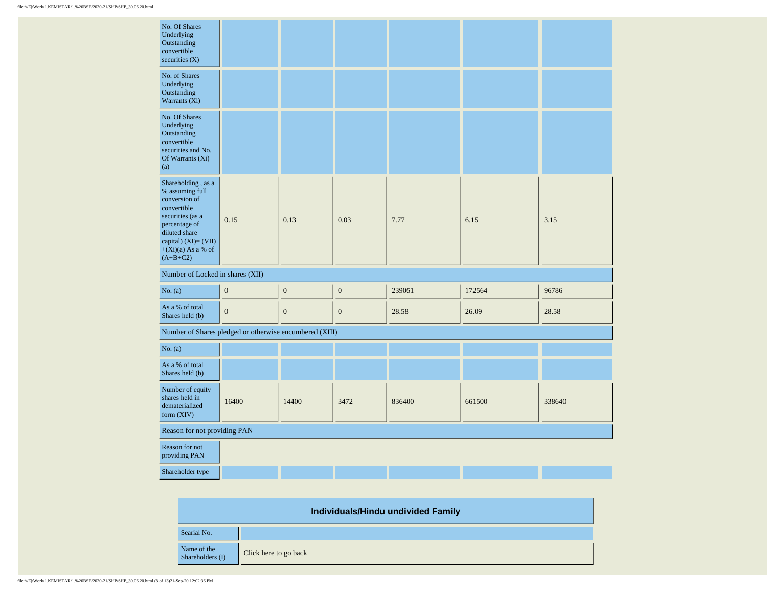| No. Of Shares<br>Underlying<br>Outstanding<br>convertible<br>securities $(X)$                                                                                                              |                                                         |                  |                  |        |        |        |
|--------------------------------------------------------------------------------------------------------------------------------------------------------------------------------------------|---------------------------------------------------------|------------------|------------------|--------|--------|--------|
| No. of Shares<br>Underlying<br>Outstanding<br>Warrants (Xi)                                                                                                                                |                                                         |                  |                  |        |        |        |
| No. Of Shares<br>Underlying<br>Outstanding<br>convertible<br>securities and No.<br>Of Warrants (Xi)<br>(a)                                                                                 |                                                         |                  |                  |        |        |        |
| Shareholding , as a<br>% assuming full<br>conversion of<br>convertible<br>securities (as a<br>percentage of<br>diluted share<br>capital) (XI)= (VII)<br>$+(Xi)(a)$ As a % of<br>$(A+B+C2)$ | 0.15                                                    |                  | 0.03             | 7.77   | 6.15   | 3.15   |
| Number of Locked in shares (XII)                                                                                                                                                           |                                                         |                  |                  |        |        |        |
| No. (a)                                                                                                                                                                                    | $\boldsymbol{0}$                                        | $\boldsymbol{0}$ | $\boldsymbol{0}$ | 239051 | 172564 | 96786  |
| As a % of total<br>Shares held (b)                                                                                                                                                         | $\mathbf{0}$                                            | $\mathbf{0}$     | $\mathbf{0}$     | 28.58  | 26.09  | 28.58  |
|                                                                                                                                                                                            | Number of Shares pledged or otherwise encumbered (XIII) |                  |                  |        |        |        |
| No. (a)                                                                                                                                                                                    |                                                         |                  |                  |        |        |        |
| As a % of total<br>Shares held (b)                                                                                                                                                         |                                                         |                  |                  |        |        |        |
| Number of equity<br>shares held in<br>dematerialized<br>form (XIV)                                                                                                                         | 16400                                                   | 14400            | 3472             | 836400 | 661500 | 338640 |
| Reason for not providing PAN                                                                                                                                                               |                                                         |                  |                  |        |        |        |
| Reason for not<br>providing PAN                                                                                                                                                            |                                                         |                  |                  |        |        |        |
| Shareholder type                                                                                                                                                                           |                                                         |                  |                  |        |        |        |

| Individuals/Hindu undivided Family |                       |  |  |  |  |  |  |
|------------------------------------|-----------------------|--|--|--|--|--|--|
| Searial No.                        |                       |  |  |  |  |  |  |
| Name of the<br>Shareholders (I)    | Click here to go back |  |  |  |  |  |  |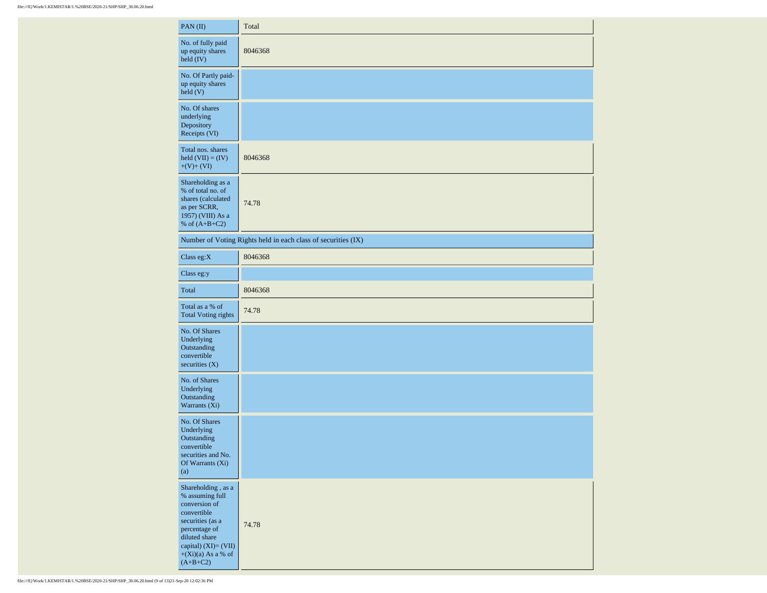| PAN(II)                                                                                                                                                                                   | Total                                                         |
|-------------------------------------------------------------------------------------------------------------------------------------------------------------------------------------------|---------------------------------------------------------------|
| No. of fully paid<br>up equity shares<br>held (IV)                                                                                                                                        | 8046368                                                       |
| No. Of Partly paid-<br>up equity shares<br>held (V)                                                                                                                                       |                                                               |
| No. Of shares<br>underlying<br>Depository<br>Receipts (VI)                                                                                                                                |                                                               |
| Total nos. shares<br>held $(VII) = (IV)$<br>$+(V)+(VI)$                                                                                                                                   | 8046368                                                       |
| Shareholding as a<br>% of total no. of<br>shares (calculated<br>as per SCRR,<br>1957) (VIII) As a<br>% of $(A+B+C2)$                                                                      | 74.78                                                         |
|                                                                                                                                                                                           | Number of Voting Rights held in each class of securities (IX) |
| Class eg: $X$                                                                                                                                                                             | 8046368                                                       |
| Class eg:y                                                                                                                                                                                |                                                               |
| Total                                                                                                                                                                                     | 8046368                                                       |
| Total as a % of<br><b>Total Voting rights</b>                                                                                                                                             | 74.78                                                         |
| No. Of Shares<br>Underlying<br>Outstanding<br>convertible<br>securities $(X)$                                                                                                             |                                                               |
| No. of Shares<br>Underlying<br>Outstanding<br>Warrants (Xi)                                                                                                                               |                                                               |
| No. Of Shares<br>Underlying<br>Outstanding<br>convertible<br>securities and No.<br>Of Warrants (Xi)<br>(a)                                                                                |                                                               |
| Shareholding, as a<br>% assuming full<br>conversion of<br>convertible<br>securities (as a<br>percentage of<br>diluted share<br>capital) (XI)= (VII)<br>$+(Xi)(a)$ As a % of<br>$(A+B+C2)$ | 74.78                                                         |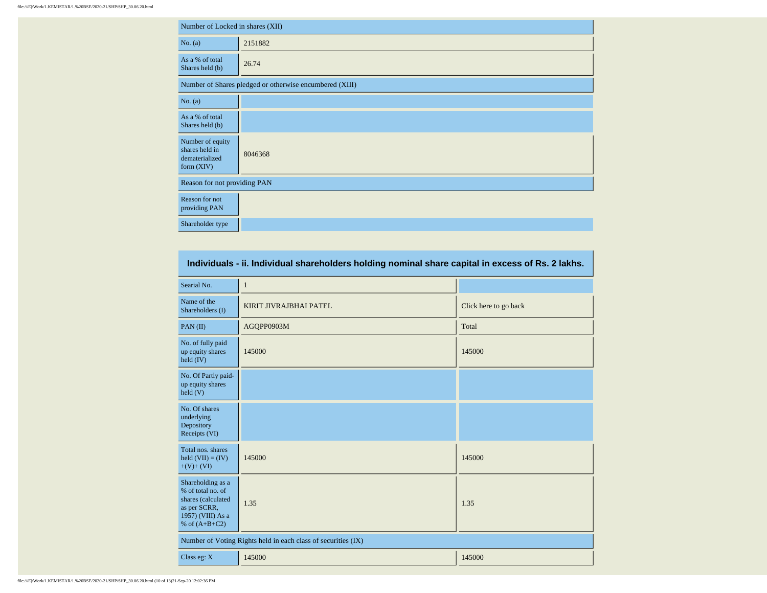| Number of Locked in shares (XII)                                     |         |  |  |  |  |  |  |  |
|----------------------------------------------------------------------|---------|--|--|--|--|--|--|--|
| No. (a)                                                              | 2151882 |  |  |  |  |  |  |  |
| As a % of total<br>Shares held (b)                                   | 26.74   |  |  |  |  |  |  |  |
| Number of Shares pledged or otherwise encumbered (XIII)              |         |  |  |  |  |  |  |  |
| No. (a)                                                              |         |  |  |  |  |  |  |  |
| As a % of total<br>Shares held (b)                                   |         |  |  |  |  |  |  |  |
| Number of equity<br>shares held in<br>dematerialized<br>form $(XIV)$ | 8046368 |  |  |  |  |  |  |  |
| Reason for not providing PAN                                         |         |  |  |  |  |  |  |  |
| Reason for not<br>providing PAN                                      |         |  |  |  |  |  |  |  |
| Shareholder type                                                     |         |  |  |  |  |  |  |  |

| Individuals - ii. Individual shareholders holding nominal share capital in excess of Rs. 2 lakhs.                    |                                                               |                       |  |  |  |  |  |  |  |
|----------------------------------------------------------------------------------------------------------------------|---------------------------------------------------------------|-----------------------|--|--|--|--|--|--|--|
| Searial No.                                                                                                          | $\mathbf{1}$                                                  |                       |  |  |  |  |  |  |  |
| Name of the<br>Shareholders (I)                                                                                      | KIRIT JIVRAJBHAI PATEL                                        | Click here to go back |  |  |  |  |  |  |  |
| PAN(II)                                                                                                              | AGQPP0903M                                                    | Total                 |  |  |  |  |  |  |  |
| No. of fully paid<br>up equity shares<br>held $(IV)$                                                                 | 145000                                                        | 145000                |  |  |  |  |  |  |  |
| No. Of Partly paid-<br>up equity shares<br>$\text{held}(V)$                                                          |                                                               |                       |  |  |  |  |  |  |  |
| No. Of shares<br>underlying<br>Depository<br>Receipts (VI)                                                           |                                                               |                       |  |  |  |  |  |  |  |
| Total nos, shares<br>held $(VII) = (IV)$<br>$+(V)+(VI)$                                                              | 145000                                                        | 145000                |  |  |  |  |  |  |  |
| Shareholding as a<br>% of total no. of<br>shares (calculated<br>as per SCRR,<br>1957) (VIII) As a<br>% of $(A+B+C2)$ | 1.35                                                          | 1.35                  |  |  |  |  |  |  |  |
|                                                                                                                      | Number of Voting Rights held in each class of securities (IX) |                       |  |  |  |  |  |  |  |
| Class eg: X                                                                                                          | 145000                                                        | 145000                |  |  |  |  |  |  |  |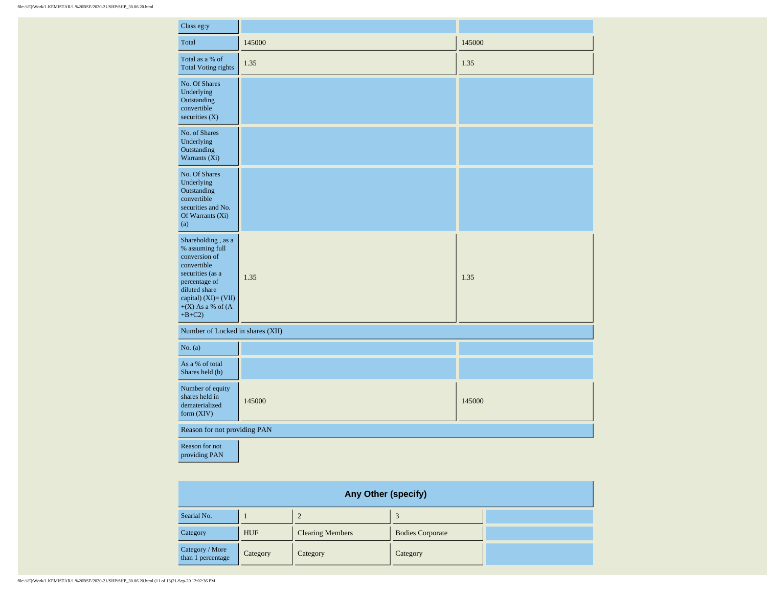| Class eg:y                                                                                                                                                                                |        |        |
|-------------------------------------------------------------------------------------------------------------------------------------------------------------------------------------------|--------|--------|
| Total                                                                                                                                                                                     | 145000 | 145000 |
| Total as a % of<br><b>Total Voting rights</b>                                                                                                                                             | 1.35   | 1.35   |
| No. Of Shares<br>Underlying<br>Outstanding<br>convertible<br>securities $(X)$                                                                                                             |        |        |
| No. of Shares<br>Underlying<br>Outstanding<br>Warrants (Xi)                                                                                                                               |        |        |
| No. Of Shares<br>Underlying<br>Outstanding<br>convertible<br>securities and No.<br>Of Warrants (Xi)<br>(a)                                                                                |        |        |
| Shareholding , as a<br>% assuming full<br>conversion of<br>convertible<br>securities (as a<br>percentage of<br>diluted share<br>capital) $(XI) = (VII)$<br>$+(X)$ As a % of (A<br>$+B+C2$ | 1.35   | 1.35   |
| Number of Locked in shares (XII)                                                                                                                                                          |        |        |
| No. (a)                                                                                                                                                                                   |        |        |
| As a % of total<br>Shares held (b)                                                                                                                                                        |        |        |
| Number of equity<br>shares held in<br>dematerialized<br>form $(XIV)$                                                                                                                      | 145000 | 145000 |
| Reason for not providing PAN                                                                                                                                                              |        |        |
| Reason for not<br>providing PAN                                                                                                                                                           |        |        |

| Any Other (specify)                  |            |                         |                         |  |  |  |  |  |  |  |
|--------------------------------------|------------|-------------------------|-------------------------|--|--|--|--|--|--|--|
| Searial No.                          |            |                         |                         |  |  |  |  |  |  |  |
| Category                             | <b>HUF</b> | <b>Clearing Members</b> | <b>Bodies Corporate</b> |  |  |  |  |  |  |  |
| Category / More<br>than 1 percentage | Category   | Category                | Category                |  |  |  |  |  |  |  |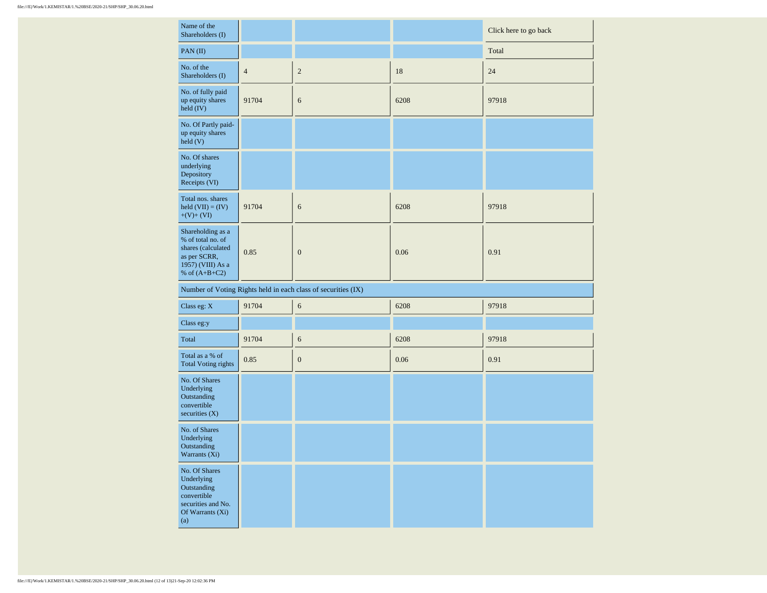| Name of the<br>Shareholders (I)                                                                                      |                |                                                               |      | Click here to go back |
|----------------------------------------------------------------------------------------------------------------------|----------------|---------------------------------------------------------------|------|-----------------------|
| PAN(II)                                                                                                              |                |                                                               |      | Total                 |
| No. of the<br>Shareholders (I)                                                                                       | $\overline{4}$ | $\sqrt{2}$                                                    | 18   | 24                    |
| No. of fully paid<br>up equity shares<br>held (IV)                                                                   | 91704          | 6                                                             | 6208 | 97918                 |
| No. Of Partly paid-<br>up equity shares<br>held (V)                                                                  |                |                                                               |      |                       |
| No. Of shares<br>underlying<br>Depository<br>Receipts (VI)                                                           |                |                                                               |      |                       |
| Total nos. shares<br>held $(VII) = (IV)$<br>$+(V)+(VI)$                                                              | 91704          | 6                                                             | 6208 | 97918                 |
| Shareholding as a<br>% of total no. of<br>shares (calculated<br>as per SCRR,<br>1957) (VIII) As a<br>% of $(A+B+C2)$ | 0.85           | $\boldsymbol{0}$                                              | 0.06 | 0.91                  |
|                                                                                                                      |                | Number of Voting Rights held in each class of securities (IX) |      |                       |
| Class eg: $\mathbf{X}$                                                                                               | 91704          | 6                                                             | 6208 | 97918                 |
| Class eg:y                                                                                                           |                |                                                               |      |                       |
| Total                                                                                                                | 91704          | 6                                                             | 6208 | 97918                 |
| Total as a % of<br><b>Total Voting rights</b>                                                                        | 0.85           | $\boldsymbol{0}$                                              | 0.06 | 0.91                  |
| No. Of Shares<br>Underlying<br>Outstanding<br>convertible<br>securities $(X)$                                        |                |                                                               |      |                       |
| No. of Shares<br>Underlying<br>Outstanding<br>Warrants $(X_1)$                                                       |                |                                                               |      |                       |
| No. Of Shares<br>Underlying<br>Outstanding<br>convertible<br>securities and No.<br>Of Warrants (Xi)<br>(a)           |                |                                                               |      |                       |